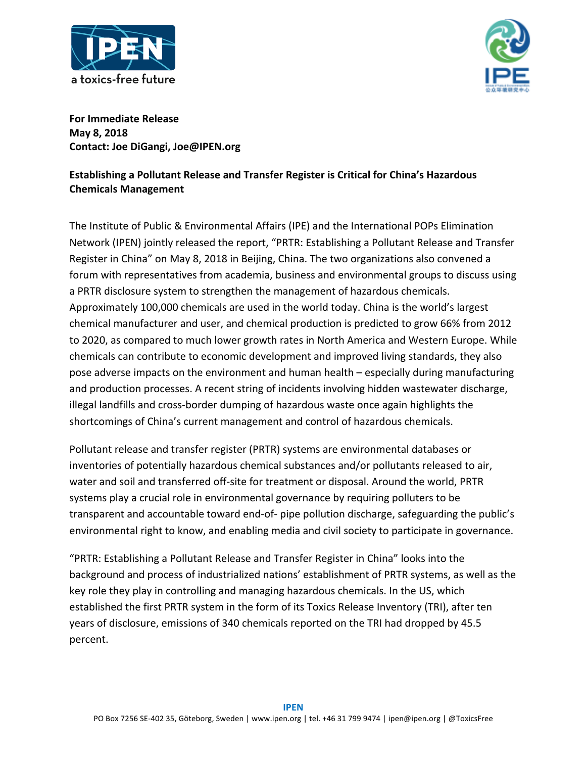



**For Immediate Release May 8, 2018 Contact: Joe DiGangi, Joe@IPEN.org**

## **Establishing a Pollutant Release and Transfer Register is Critical for China's Hazardous Chemicals Management**

The Institute of Public & Environmental Affairs (IPE) and the International POPs Elimination Network (IPEN) jointly released the report, "PRTR: Establishing a Pollutant Release and Transfer Register in China" on May 8, 2018 in Beijing, China. The two organizations also convened a forum with representatives from academia, business and environmental groups to discuss using a PRTR disclosure system to strengthen the management of hazardous chemicals. Approximately 100,000 chemicals are used in the world today. China is the world's largest chemical manufacturer and user, and chemical production is predicted to grow 66% from 2012 to 2020, as compared to much lower growth rates in North America and Western Europe. While chemicals can contribute to economic development and improved living standards, they also pose adverse impacts on the environment and human health – especially during manufacturing and production processes. A recent string of incidents involving hidden wastewater discharge, illegal landfills and cross-border dumping of hazardous waste once again highlights the shortcomings of China's current management and control of hazardous chemicals.

Pollutant release and transfer register (PRTR) systems are environmental databases or inventories of potentially hazardous chemical substances and/or pollutants released to air, water and soil and transferred off-site for treatment or disposal. Around the world, PRTR systems play a crucial role in environmental governance by requiring polluters to be transparent and accountable toward end-of- pipe pollution discharge, safeguarding the public's environmental right to know, and enabling media and civil society to participate in governance.

"PRTR: Establishing a Pollutant Release and Transfer Register in China" looks into the background and process of industrialized nations' establishment of PRTR systems, as well as the key role they play in controlling and managing hazardous chemicals. In the US, which established the first PRTR system in the form of its Toxics Release Inventory (TRI), after ten years of disclosure, emissions of 340 chemicals reported on the TRI had dropped by 45.5 percent.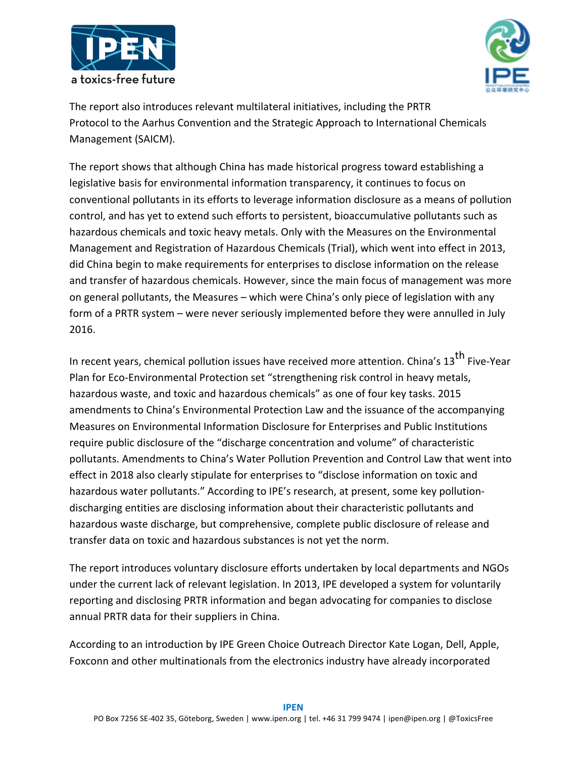



The report also introduces relevant multilateral initiatives, including the PRTR Protocol to the Aarhus Convention and the Strategic Approach to International Chemicals Management (SAICM).

The report shows that although China has made historical progress toward establishing a legislative basis for environmental information transparency, it continues to focus on conventional pollutants in its efforts to leverage information disclosure as a means of pollution control, and has yet to extend such efforts to persistent, bioaccumulative pollutants such as hazardous chemicals and toxic heavy metals. Only with the Measures on the Environmental Management and Registration of Hazardous Chemicals (Trial), which went into effect in 2013, did China begin to make requirements for enterprises to disclose information on the release and transfer of hazardous chemicals. However, since the main focus of management was more on general pollutants, the Measures – which were China's only piece of legislation with any form of a PRTR system - were never seriously implemented before they were annulled in July 2016. 

In recent years, chemical pollution issues have received more attention. China's  $13<sup>th</sup>$  Five-Year Plan for Eco-Environmental Protection set "strengthening risk control in heavy metals, hazardous waste, and toxic and hazardous chemicals" as one of four key tasks. 2015 amendments to China's Environmental Protection Law and the issuance of the accompanying Measures on Environmental Information Disclosure for Enterprises and Public Institutions require public disclosure of the "discharge concentration and volume" of characteristic pollutants. Amendments to China's Water Pollution Prevention and Control Law that went into effect in 2018 also clearly stipulate for enterprises to "disclose information on toxic and hazardous water pollutants." According to IPE's research, at present, some key pollutiondischarging entities are disclosing information about their characteristic pollutants and hazardous waste discharge, but comprehensive, complete public disclosure of release and transfer data on toxic and hazardous substances is not yet the norm.

The report introduces voluntary disclosure efforts undertaken by local departments and NGOs under the current lack of relevant legislation. In 2013, IPE developed a system for voluntarily reporting and disclosing PRTR information and began advocating for companies to disclose annual PRTR data for their suppliers in China.

According to an introduction by IPE Green Choice Outreach Director Kate Logan, Dell, Apple, Foxconn and other multinationals from the electronics industry have already incorporated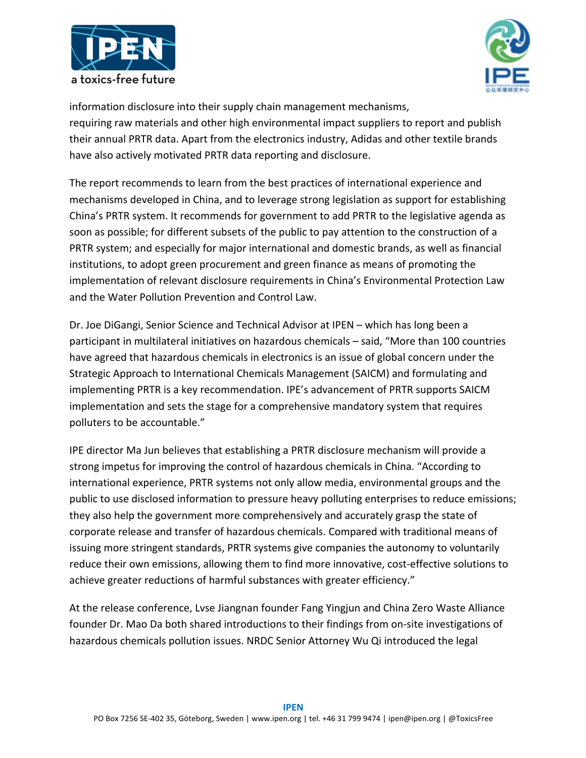



information disclosure into their supply chain management mechanisms, requiring raw materials and other high environmental impact suppliers to report and publish their annual PRTR data. Apart from the electronics industry, Adidas and other textile brands have also actively motivated PRTR data reporting and disclosure.

The report recommends to learn from the best practices of international experience and mechanisms developed in China, and to leverage strong legislation as support for establishing China's PRTR system. It recommends for government to add PRTR to the legislative agenda as soon as possible; for different subsets of the public to pay attention to the construction of a PRTR system; and especially for major international and domestic brands, as well as financial institutions, to adopt green procurement and green finance as means of promoting the implementation of relevant disclosure requirements in China's Environmental Protection Law and the Water Pollution Prevention and Control Law.

Dr. Joe DiGangi, Senior Science and Technical Advisor at IPEN – which has long been a participant in multilateral initiatives on hazardous chemicals – said, "More than 100 countries have agreed that hazardous chemicals in electronics is an issue of global concern under the Strategic Approach to International Chemicals Management (SAICM) and formulating and implementing PRTR is a key recommendation. IPE's advancement of PRTR supports SAICM implementation and sets the stage for a comprehensive mandatory system that requires polluters to be accountable."

IPE director Ma Jun believes that establishing a PRTR disclosure mechanism will provide a strong impetus for improving the control of hazardous chemicals in China. "According to international experience, PRTR systems not only allow media, environmental groups and the public to use disclosed information to pressure heavy polluting enterprises to reduce emissions; they also help the government more comprehensively and accurately grasp the state of corporate release and transfer of hazardous chemicals. Compared with traditional means of issuing more stringent standards, PRTR systems give companies the autonomy to voluntarily reduce their own emissions, allowing them to find more innovative, cost-effective solutions to achieve greater reductions of harmful substances with greater efficiency."

At the release conference, Lyse Jiangnan founder Fang Yingjun and China Zero Waste Alliance founder Dr. Mao Da both shared introductions to their findings from on-site investigations of hazardous chemicals pollution issues. NRDC Senior Attorney Wu Qi introduced the legal